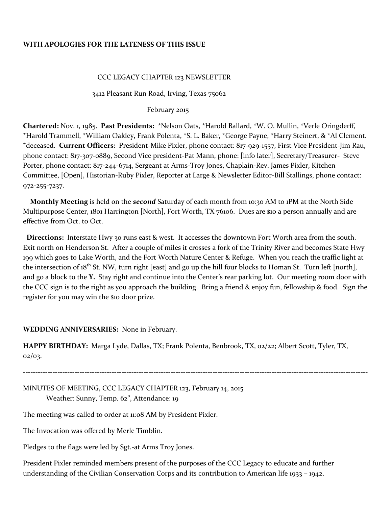## **WITH APOLOGIES FOR THE LATENESS OF THIS ISSUE**

### CCC LEGACY CHAPTER 123 NEWSLETTER

### 3412 Pleasant Run Road, Irving, Texas 75062

#### February 2015

**Chartered:** Nov. 1, 1985. **Past Presidents:** \*Nelson Oats, \*Harold Ballard, \*W. O. Mullin, \*Verle Oringderff, \*Harold Trammell, \*William Oakley, Frank Polenta, \*S. L. Baker, \*George Payne, \*Harry Steinert, & \*Al Clement. \*deceased. **Current Officers:** President-Mike Pixler, phone contact: 817-929-1557, First Vice President-Jim Rau, phone contact: 817-3o7-0889, Second Vice president-Pat Mann, phone: [info later], Secretary/Treasurer- Steve Porter, phone contact: 817-244-6714, Sergeant at Arms-Troy Jones, Chaplain-Rev. James Pixler, Kitchen Committee, [Open], Historian-Ruby Pixler, Reporter at Large & Newsletter Editor-Bill Stallings, phone contact: 972-255-7237.

 **Monthly Meeting** is held on the *second* Saturday of each month from 10:30 AM to 1PM at the North Side Multipurpose Center, 1801 Harrington [North], Fort Worth, TX 76106. Dues are \$10 a person annually and are effective from Oct. to Oct.

 **Directions:** Interstate Hwy 30 runs east & west. It accesses the downtown Fort Worth area from the south. Exit north on Henderson St. After a couple of miles it crosses a fork of the Trinity River and becomes State Hwy 199 which goes to Lake Worth, and the Fort Worth Nature Center & Refuge. When you reach the traffic light at the intersection of 18<sup>th</sup> St. NW, turn right [east] and go up the hill four blocks to Homan St. Turn left [north], and go a block to the **Y.** Stay right and continue into the Center's rear parking lot. Our meeting room door with the CCC sign is to the right as you approach the building. Bring a friend & enjoy fun, fellowship & food. Sign the register for you may win the \$10 door prize.

### **WEDDING ANNIVERSARIES:** None in February.

**HAPPY BIRTHDAY:** Marga Lyde, Dallas, TX; Frank Polenta, Benbrook, TX, 02/22; Albert Scott, Tyler, TX, 02/03.

**--------------------------------------------------------------------------------------------------------------------------------------------**

MINUTES OF MEETING, CCC LEGACY CHAPTER 123, February 14, 2015 Weather: Sunny, Temp. 62<sup>°</sup>, Attendance: 19

The meeting was called to order at 11:08 AM by President Pixler.

The Invocation was offered by Merle Timblin.

Pledges to the flags were led by Sgt.-at Arms Troy Jones.

President Pixler reminded members present of the purposes of the CCC Legacy to educate and further understanding of the Civilian Conservation Corps and its contribution to American life 1933 – 1942.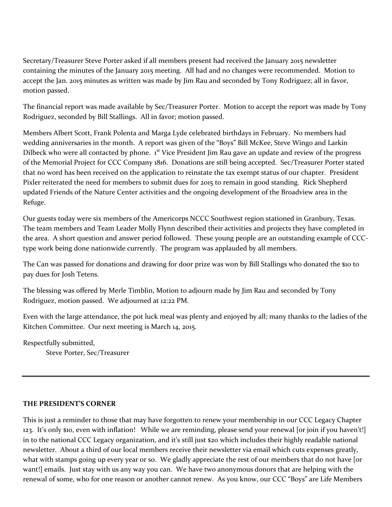Secretary/Treasurer Steve Porter asked if all members present had received the January 2015 newsletter containing the minutes of the January 2015 meeting. All had and no changes were recommended. Motion to accept the Jan. 2015 minutes as written was made by Jim Rau and seconded by Tony Rodriguez; all in favor, motion passed.

The financial report was made available by Sec/Treasurer Porter. Motion to accept the report was made by Tony Rodriguez, seconded by Bill Stallings. All in favor; motion passed.

Members Albert Scott, Frank Polenta and Marga Lyde celebrated birthdays in February. No members had wedding anniversaries in the month. A report was given of the "Boys" Bill McKee, Steve Wingo and Larkin Dilbeck who were all contacted by phone.  $1<sup>st</sup>$  Vice President Jim Rau gave an update and review of the progress of the Memorial Project for CCC Company 1816. Donations are still being accepted. Sec/Treasurer Porter stated that no word has been received on the application to reinstate the tax exempt status of our chapter. President Pixler reiterated the need for members to submit dues for 2015 to remain in good standing. Rick Shepherd updated Friends of the Nature Center activities and the ongoing development of the Broadview area in the Refuge.

Our guests today were six members of the Americorps NCCC Southwest region stationed in Granbury, Texas. The team members and Team Leader Molly Flynn described their activities and projects they have completed in the area. A short question and answer period followed. These young people are an outstanding example of CCCtype work being done nationwide currently. The program was applauded by all members.

The Can was passed for donations and drawing for door prize was won by Bill Stallings who donated the \$10 to pay dues for Josh Tetens.

The blessing was offered by Merle Timblin, Motion to adjourn made by Jim Rau and seconded by Tony Rodriguez, motion passed. We adjourned at 12:22 PM.

Even with the large attendance, the pot luck meal was plenty and enjoyed by all; many thanks to the ladies of the Kitchen Committee. Our next meeting is March 14, 2015.

Respectfully submitted, Steve Porter, Sec/Treasurer

## **THE PRESIDENT'S CORNER**

This is just a reminder to those that may have forgotten to renew your membership in our CCC Legacy Chapter 123. It's only \$10, even with inflation! While we are reminding, please send your renewal [or join if you haven't!] in to the national CCC Legacy organization, and it's still just \$20 which includes their highly readable national newsletter. About a third of our local members receive their newsletter via email which cuts expenses greatly, what with stamps going up every year or so. We gladly appreciate the rest of our members that do not have [or want!] emails. Just stay with us any way you can. We have two anonymous donors that are helping with the renewal of some, who for one reason or another cannot renew. As you know, our CCC "Boys" are Life Members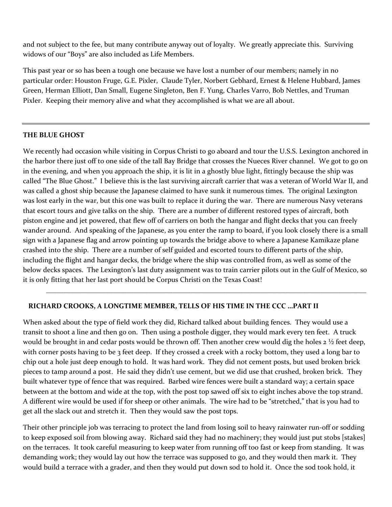and not subject to the fee, but many contribute anyway out of loyalty. We greatly appreciate this. Surviving widows of our "Boys" are also included as Life Members.

This past year or so has been a tough one because we have lost a number of our members; namely in no particular order: Houston Fruge, G.E. Pixler, Claude Tyler, Norbert Gebhard, Ernest & Helene Hubbard, James Green, Herman Elliott, Dan Small, Eugene Singleton, Ben F. Yung, Charles Varro, Bob Nettles, and Truman Pixler. Keeping their memory alive and what they accomplished is what we are all about.

## **THE BLUE GHOST**

We recently had occasion while visiting in Corpus Christi to go aboard and tour the U.S.S. Lexington anchored in the harbor there just off to one side of the tall Bay Bridge that crosses the Nueces River channel. We got to go on in the evening, and when you approach the ship, it is lit in a ghostly blue light, fittingly because the ship was called "The Blue Ghost." I believe this is the last surviving aircraft carrier that was a veteran of World War II, and was called a ghost ship because the Japanese claimed to have sunk it numerous times. The original Lexington was lost early in the war, but this one was built to replace it during the war. There are numerous Navy veterans that escort tours and give talks on the ship. There are a number of different restored types of aircraft, both piston engine and jet powered, that flew off of carriers on both the hangar and flight decks that you can freely wander around. And speaking of the Japanese, as you enter the ramp to board, if you look closely there is a small sign with a Japanese flag and arrow pointing up towards the bridge above to where a Japanese Kamikaze plane crashed into the ship. There are a number of self guided and escorted tours to different parts of the ship, including the flight and hangar decks, the bridge where the ship was controlled from, as well as some of the below decks spaces. The Lexington's last duty assignment was to train carrier pilots out in the Gulf of Mexico, so it is only fitting that her last port should be Corpus Christi on the Texas Coast!

\_\_\_\_\_\_\_\_\_\_\_\_\_\_\_\_\_\_\_\_\_\_\_\_\_\_\_\_\_\_\_\_\_\_\_\_\_\_\_\_\_\_\_\_\_\_\_\_\_\_\_\_\_\_\_\_\_\_\_\_\_\_\_\_\_\_\_\_\_\_\_\_\_\_\_\_\_\_\_\_\_\_\_\_\_\_\_\_\_\_\_

# **RICHARD CROOKS, A LONGTIME MEMBER, TELLS OF HIS TIME IN THE CCC …PART II**

When asked about the type of field work they did, Richard talked about building fences. They would use a transit to shoot a line and then go on. Then using a posthole digger, they would mark every ten feet. A truck would be brought in and cedar posts would be thrown off. Then another crew would dig the holes 2 ½ feet deep, with corner posts having to be 3 feet deep. If they crossed a creek with a rocky bottom, they used a long bar to chip out a hole just deep enough to hold. It was hard work. They did not cement posts, but used broken brick pieces to tamp around a post. He said they didn't use cement, but we did use that crushed, broken brick. They built whatever type of fence that was required. Barbed wire fences were built a standard way; a certain space between at the bottom and wide at the top, with the post top sawed off six to eight inches above the top strand. A different wire would be used if for sheep or other animals. The wire had to be "stretched," that is you had to get all the slack out and stretch it. Then they would saw the post tops.

Their other principle job was terracing to protect the land from losing soil to heavy rainwater run-off or sodding to keep exposed soil from blowing away. Richard said they had no machinery; they would just put stobs [stakes] on the terraces. It took careful measuring to keep water from running off too fast or keep from standing. It was demanding work; they would lay out how the terrace was supposed to go, and they would then mark it. They would build a terrace with a grader, and then they would put down sod to hold it. Once the sod took hold, it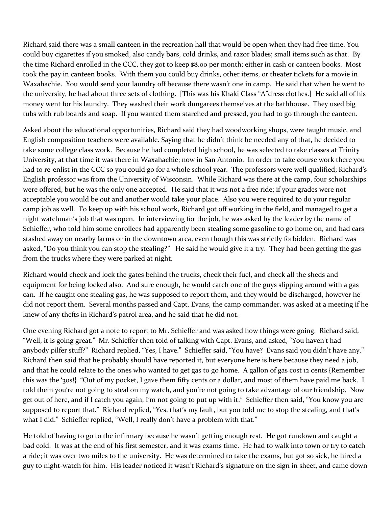Richard said there was a small canteen in the recreation hall that would be open when they had free time. You could buy cigarettes if you smoked, also candy bars, cold drinks, and razor blades; small items such as that. By the time Richard enrolled in the CCC, they got to keep \$8.00 per month; either in cash or canteen books. Most took the pay in canteen books. With them you could buy drinks, other items, or theater tickets for a movie in Waxahachie. You would send your laundry off because there wasn't one in camp. He said that when he went to the university, he had about three sets of clothing. [This was his Khaki Class "A"dress clothes.] He said all of his money went for his laundry. They washed their work dungarees themselves at the bathhouse. They used big tubs with rub boards and soap. If you wanted them starched and pressed, you had to go through the canteen.

Asked about the educational opportunities, Richard said they had woodworking shops, were taught music, and English composition teachers were available. Saying that he didn't think he needed any of that, he decided to take some college class work. Because he had completed high school, he was selected to take classes at Trinity University, at that time it was there in Waxahachie; now in San Antonio. In order to take course work there you had to re-enlist in the CCC so you could go for a whole school year. The professors were well qualified; Richard's English professor was from the University of Wisconsin. While Richard was there at the camp, four scholarships were offered, but he was the only one accepted. He said that it was not a free ride; if your grades were not acceptable you would be out and another would take your place. Also you were required to do your regular camp job as well. To keep up with his school work, Richard got off working in the field, and managed to get a night watchman's job that was open. In interviewing for the job, he was asked by the leader by the name of Schieffer, who told him some enrollees had apparently been stealing some gasoline to go home on, and had cars stashed away on nearby farms or in the downtown area, even though this was strictly forbidden. Richard was asked, "Do you think you can stop the stealing?" He said he would give it a try. They had been getting the gas from the trucks where they were parked at night.

Richard would check and lock the gates behind the trucks, check their fuel, and check all the sheds and equipment for being locked also. And sure enough, he would catch one of the guys slipping around with a gas can. If he caught one stealing gas, he was supposed to report them, and they would be discharged, however he did not report them. Several months passed and Capt. Evans, the camp commander, was asked at a meeting if he knew of any thefts in Richard's patrol area, and he said that he did not.

One evening Richard got a note to report to Mr. Schieffer and was asked how things were going. Richard said, "Well, it is going great." Mr. Schieffer then told of talking with Capt. Evans, and asked, "You haven't had anybody pilfer stuff?" Richard replied, "Yes, I have." Schieffer said, "You have? Evans said you didn't have any." Richard then said that he probably should have reported it, but everyone here is here because they need a job, and that he could relate to the ones who wanted to get gas to go home. A gallon of gas cost 12 cents {Remember this was the '30s!} "Out of my pocket, I gave them fifty cents or a dollar, and most of them have paid me back. I told them you're not going to steal on my watch, and you're not going to take advantage of our friendship. Now get out of here, and if I catch you again, I'm not going to put up with it." Schieffer then said, "You know you are supposed to report that." Richard replied, "Yes, that's my fault, but you told me to stop the stealing, and that's what I did." Schieffer replied, "Well, I really don't have a problem with that."

He told of having to go to the infirmary because he wasn't getting enough rest. He got rundown and caught a bad cold. It was at the end of his first semester, and it was exams time. He had to walk into town or try to catch a ride; it was over two miles to the university. He was determined to take the exams, but got so sick, he hired a guy to night-watch for him. His leader noticed it wasn't Richard's signature on the sign in sheet, and came down